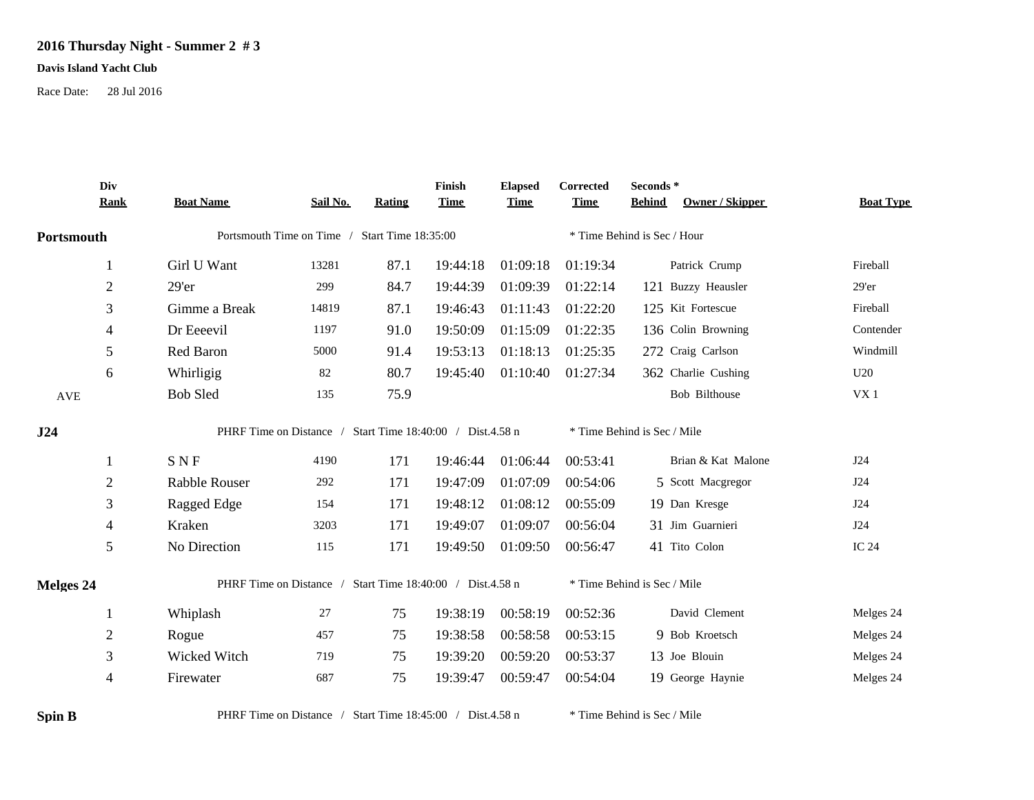## **2016 Thursday Night - Summer 2 # 3**

## **Davis Island Yacht Club**

Race Date: 28 Jul 2016

|            | Div<br><b>Rank</b> | <b>Boat Name</b>                                          | Sail No.                                                  | Rating | Finish<br><b>Time</b> | <b>Elapsed</b><br><b>Time</b> | Corrected<br><b>Time</b> | Seconds *<br><b>Owner / Skipper</b><br><b>Behind</b> | <b>Boat Type</b> |  |  |
|------------|--------------------|-----------------------------------------------------------|-----------------------------------------------------------|--------|-----------------------|-------------------------------|--------------------------|------------------------------------------------------|------------------|--|--|
| Portsmouth |                    |                                                           | Portsmouth Time on Time / Start Time 18:35:00             |        |                       |                               |                          | * Time Behind is Sec / Hour                          |                  |  |  |
|            |                    |                                                           |                                                           |        |                       |                               |                          |                                                      |                  |  |  |
|            | $\mathbf{1}$       | Girl U Want                                               | 13281                                                     | 87.1   | 19:44:18              | 01:09:18                      | 01:19:34                 | Patrick Crump                                        | Fireball         |  |  |
|            | $\sqrt{2}$         | 29'er                                                     | 299                                                       | 84.7   | 19:44:39              | 01:09:39                      | 01:22:14                 | 121 Buzzy Heausler                                   | $29'$ er         |  |  |
|            | 3                  | Gimme a Break                                             | 14819                                                     | 87.1   | 19:46:43              | 01:11:43                      | 01:22:20                 | 125 Kit Fortescue                                    | Fireball         |  |  |
|            | 4                  | Dr Eeeevil                                                | 1197                                                      | 91.0   | 19:50:09              | 01:15:09                      | 01:22:35                 | 136 Colin Browning                                   | Contender        |  |  |
|            | 5                  | Red Baron                                                 | 5000                                                      | 91.4   | 19:53:13              | 01:18:13                      | 01:25:35                 | 272 Craig Carlson                                    | Windmill         |  |  |
|            | 6                  | Whirligig                                                 | 82                                                        | 80.7   | 19:45:40              | 01:10:40                      | 01:27:34                 | 362 Charlie Cushing                                  | U20              |  |  |
| <b>AVE</b> |                    | <b>Bob Sled</b>                                           | 135                                                       | 75.9   |                       |                               |                          | <b>Bob Bilthouse</b>                                 | VX1              |  |  |
| J24        |                    |                                                           | PHRF Time on Distance / Start Time 18:40:00 / Dist.4.58 n |        |                       |                               |                          | * Time Behind is Sec / Mile                          |                  |  |  |
|            | 1                  | <b>SNF</b>                                                | 4190                                                      | 171    | 19:46:44              | 01:06:44                      | 00:53:41                 | Brian & Kat Malone                                   | J24              |  |  |
|            | $\sqrt{2}$         | <b>Rabble Rouser</b>                                      | 292                                                       | 171    | 19:47:09              | 01:07:09                      | 00:54:06                 | 5 Scott Macgregor                                    | J24              |  |  |
|            | 3                  | Ragged Edge                                               | 154                                                       | 171    | 19:48:12              | 01:08:12                      | 00:55:09                 | 19 Dan Kresge                                        | J24              |  |  |
|            | $\overline{4}$     | Kraken                                                    | 3203                                                      | 171    | 19:49:07              | 01:09:07                      | 00:56:04                 | 31 Jim Guarnieri                                     | J24              |  |  |
|            | 5                  | No Direction                                              | 115                                                       | 171    | 19:49:50              | 01:09:50                      | 00:56:47                 | 41 Tito Colon                                        | <b>IC 24</b>     |  |  |
| Melges 24  |                    | PHRF Time on Distance / Start Time 18:40:00 / Dist.4.58 n |                                                           |        |                       |                               |                          | * Time Behind is Sec / Mile                          |                  |  |  |
|            | $\mathbf{1}$       | Whiplash                                                  | 27                                                        | 75     | 19:38:19              | 00:58:19                      | 00:52:36                 | David Clement                                        | Melges 24        |  |  |
|            | $\sqrt{2}$         | Rogue                                                     | 457                                                       | 75     | 19:38:58              | 00:58:58                      | 00:53:15                 | 9 Bob Kroetsch                                       | Melges 24        |  |  |
|            | $\mathfrak{Z}$     | Wicked Witch                                              | 719                                                       | 75     | 19:39:20              | 00:59:20                      | 00:53:37                 | 13 Joe Blouin                                        | Melges 24        |  |  |
|            | 4                  | Firewater                                                 | 687                                                       | 75     | 19:39:47              | 00:59:47                      | 00:54:04                 | 19 George Haynie                                     | Melges 24        |  |  |
| Spin B     |                    | PHRF Time on Distance / Start Time 18:45:00 / Dist.4.58 n |                                                           |        |                       |                               |                          | * Time Behind is Sec / Mile                          |                  |  |  |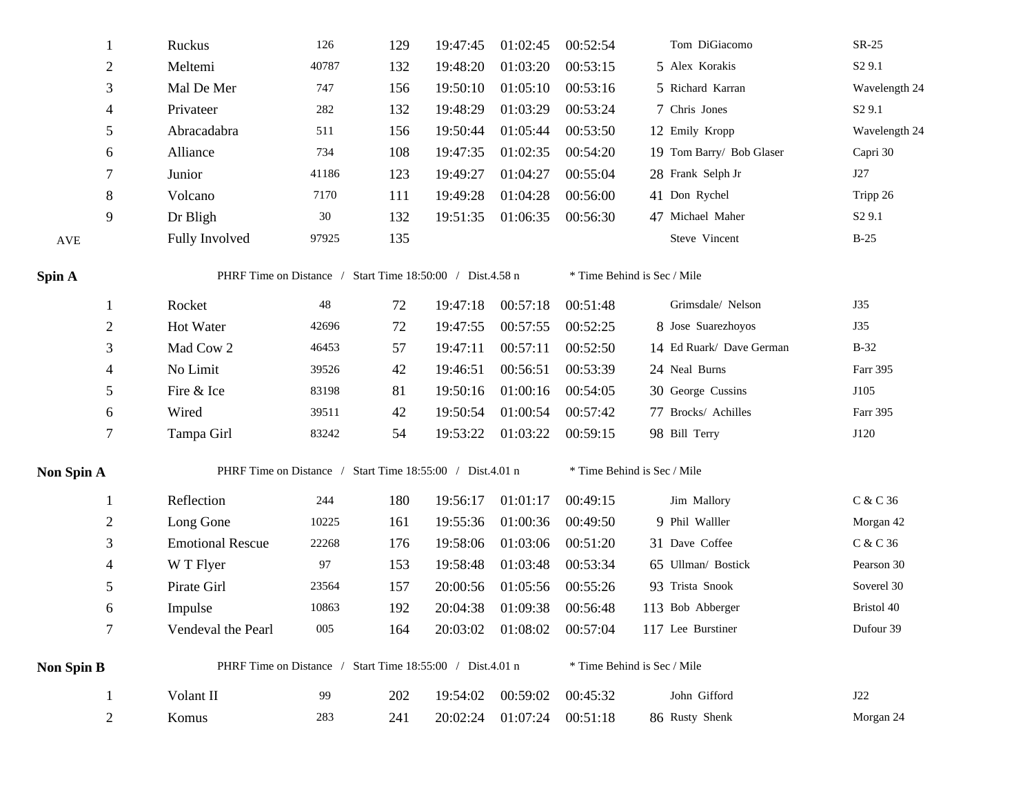|                      |                | Ruckus                                                    | 126    | 129 | 19:47:45 | 01:02:45                     | 00:52:54 | Tom DiGiacomo               | $SR-25$            |  |  |  |
|----------------------|----------------|-----------------------------------------------------------|--------|-----|----------|------------------------------|----------|-----------------------------|--------------------|--|--|--|
|                      | $\overline{c}$ | Meltemi                                                   | 40787  | 132 | 19:48:20 | 01:03:20                     | 00:53:15 | 5 Alex Korakis              | S <sub>2</sub> 9.1 |  |  |  |
|                      | 3              | Mal De Mer                                                | 747    | 156 | 19:50:10 | 01:05:10                     | 00:53:16 | 5 Richard Karran            | Wavelength 24      |  |  |  |
|                      | 4              | Privateer                                                 | 282    | 132 | 19:48:29 | 01:03:29                     | 00:53:24 | 7 Chris Jones               | S <sub>2</sub> 9.1 |  |  |  |
|                      | 5              | Abracadabra                                               | 511    | 156 | 19:50:44 | 01:05:44                     | 00:53:50 | 12 Emily Kropp              | Wavelength 24      |  |  |  |
|                      | 6              | Alliance                                                  | 734    | 108 | 19:47:35 | 01:02:35                     | 00:54:20 | 19 Tom Barry/ Bob Glaser    | Capri 30           |  |  |  |
|                      | 7              | Junior                                                    | 41186  | 123 | 19:49:27 | 01:04:27                     | 00:55:04 | 28 Frank Selph Jr           | J27                |  |  |  |
|                      | 8              | Volcano                                                   | 7170   | 111 | 19:49:28 | 01:04:28                     | 00:56:00 | 41 Don Rychel               | Tripp 26           |  |  |  |
|                      | 9              | Dr Bligh                                                  | $30\,$ | 132 | 19:51:35 | 01:06:35                     | 00:56:30 | 47 Michael Maher            | S <sub>2</sub> 9.1 |  |  |  |
| $\operatorname{AVE}$ |                | Fully Involved                                            | 97925  | 135 |          |                              |          | Steve Vincent               | $B-25$             |  |  |  |
| Spin A               |                | PHRF Time on Distance / Start Time 18:50:00 / Dist.4.58 n |        |     |          |                              |          | * Time Behind is Sec / Mile |                    |  |  |  |
|                      | $\mathbf{1}$   | Rocket                                                    | 48     | 72  | 19:47:18 | 00:57:18                     | 00:51:48 | Grimsdale/ Nelson           | <b>J35</b>         |  |  |  |
|                      | $\overline{c}$ | Hot Water                                                 | 42696  | 72  | 19:47:55 | 00:57:55                     | 00:52:25 | 8 Jose Suarezhoyos          | J35                |  |  |  |
|                      | 3              | Mad Cow 2                                                 | 46453  | 57  | 19:47:11 | 00:57:11                     | 00:52:50 | 14 Ed Ruark/ Dave German    | $B-32$             |  |  |  |
|                      | 4              | No Limit                                                  | 39526  | 42  | 19:46:51 | 00:56:51                     | 00:53:39 | 24 Neal Burns               | Farr 395           |  |  |  |
|                      | 5              | Fire & Ice                                                | 83198  | 81  | 19:50:16 | 01:00:16                     | 00:54:05 | 30 George Cussins           | J105               |  |  |  |
|                      | 6              | Wired                                                     | 39511  | 42  | 19:50:54 | 01:00:54                     | 00:57:42 | 77 Brocks/ Achilles         | Farr 395           |  |  |  |
|                      | 7              | Tampa Girl                                                | 83242  | 54  | 19:53:22 | 01:03:22                     | 00:59:15 | 98 Bill Terry               | J120               |  |  |  |
| Non Spin A           |                | PHRF Time on Distance / Start Time 18:55:00 / Dist.4.01 n |        |     |          |                              |          | * Time Behind is Sec / Mile |                    |  |  |  |
|                      | 1              | Reflection                                                | 244    | 180 | 19:56:17 | 01:01:17                     | 00:49:15 | Jim Mallory                 | C & C 36           |  |  |  |
|                      | $\overline{c}$ | Long Gone                                                 | 10225  | 161 | 19:55:36 | 01:00:36                     | 00:49:50 | 9 Phil Walller              | Morgan 42          |  |  |  |
|                      | 3              | <b>Emotional Rescue</b>                                   | 22268  | 176 | 19:58:06 | 01:03:06                     | 00:51:20 | 31 Dave Coffee              | C & C 36           |  |  |  |
|                      | 4              | W T Flyer                                                 | 97     | 153 | 19:58:48 | 01:03:48                     | 00:53:34 | 65 Ullman/ Bostick          | Pearson 30         |  |  |  |
|                      | 5              | Pirate Girl                                               | 23564  | 157 | 20:00:56 | 01:05:56                     | 00:55:26 | 93 Trista Snook             | Soverel 30         |  |  |  |
|                      | 6              | Impulse                                                   | 10863  | 192 | 20:04:38 | 01:09:38                     | 00:56:48 | 113 Bob Abberger            | Bristol 40         |  |  |  |
|                      | 7              | Vendeval the Pearl                                        | 005    | 164 |          | 20:03:02  01:08:02  00:57:04 |          | 117 Lee Burstiner           | Dufour 39          |  |  |  |
| Non Spin B           |                | PHRF Time on Distance / Start Time 18:55:00 / Dist.4.01 n |        |     |          |                              |          | * Time Behind is Sec / Mile |                    |  |  |  |
|                      |                | Volant II                                                 | 99     | 202 | 19:54:02 | 00:59:02                     | 00:45:32 | John Gifford                | J22                |  |  |  |
|                      | 2              | Komus                                                     | 283    | 241 | 20:02:24 | 01:07:24                     | 00:51:18 | 86 Rusty Shenk              | Morgan 24          |  |  |  |